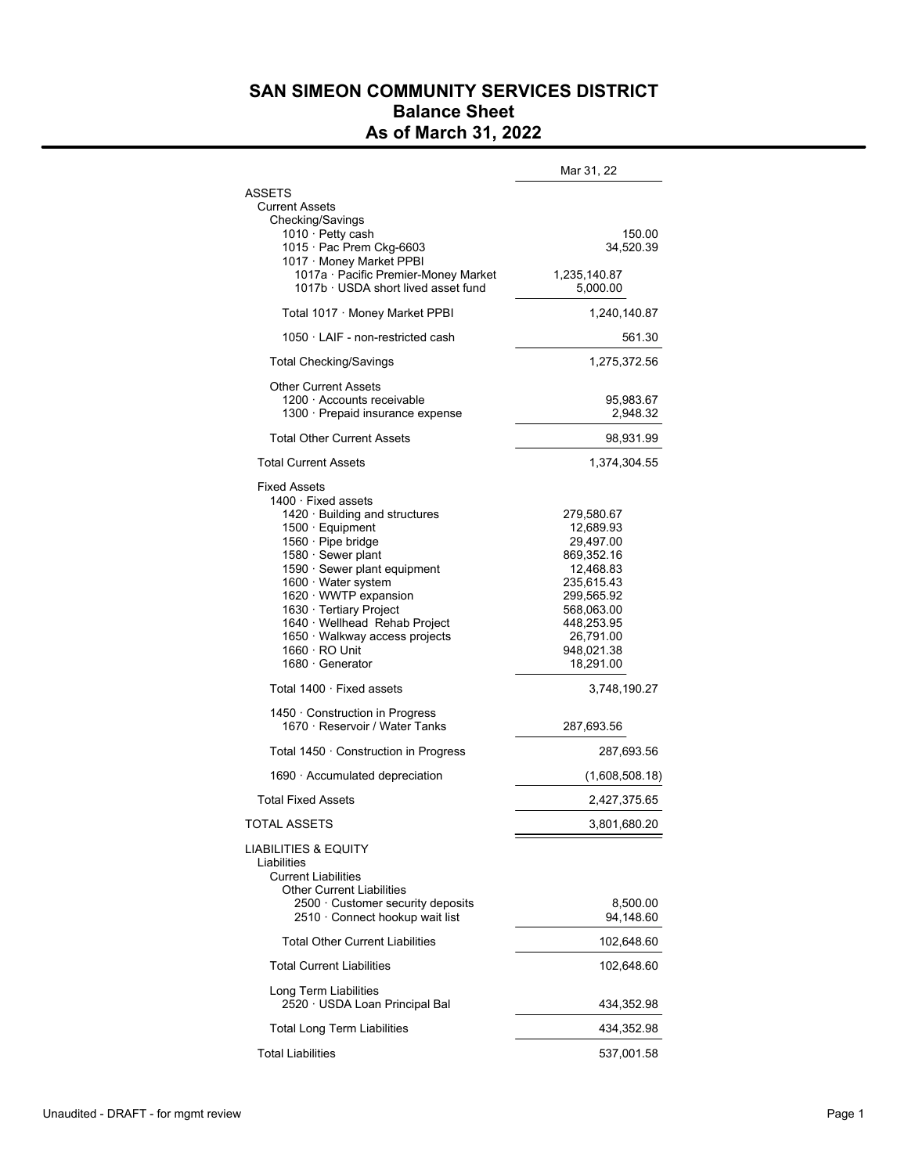## **SAN SIMEON COMMUNITY SERVICES DISTRICT Balance Sheet As of March 31, 2022**

|                                                                                                                                                                                                                                                                                                                                                                                                                                                                                                                                                                       | Mar 31, 22                                                                                                                                                                                                                    |
|-----------------------------------------------------------------------------------------------------------------------------------------------------------------------------------------------------------------------------------------------------------------------------------------------------------------------------------------------------------------------------------------------------------------------------------------------------------------------------------------------------------------------------------------------------------------------|-------------------------------------------------------------------------------------------------------------------------------------------------------------------------------------------------------------------------------|
| ASSETS<br><b>Current Assets</b><br>Checking/Savings<br>1010 · Petty cash<br>1015 · Pac Prem Ckg-6603<br>1017 · Money Market PPBI                                                                                                                                                                                                                                                                                                                                                                                                                                      | 150.00<br>34,520.39                                                                                                                                                                                                           |
| 1017a · Pacific Premier-Money Market<br>1017b · USDA short lived asset fund                                                                                                                                                                                                                                                                                                                                                                                                                                                                                           | 1,235,140.87<br>5,000.00                                                                                                                                                                                                      |
| Total 1017 · Money Market PPBI                                                                                                                                                                                                                                                                                                                                                                                                                                                                                                                                        | 1,240,140.87                                                                                                                                                                                                                  |
| $1050 \cdot LAIF$ - non-restricted cash                                                                                                                                                                                                                                                                                                                                                                                                                                                                                                                               | 561.30                                                                                                                                                                                                                        |
| <b>Total Checking/Savings</b>                                                                                                                                                                                                                                                                                                                                                                                                                                                                                                                                         | 1,275,372.56                                                                                                                                                                                                                  |
| <b>Other Current Assets</b><br>1200 · Accounts receivable<br>1300 · Prepaid insurance expense                                                                                                                                                                                                                                                                                                                                                                                                                                                                         | 95,983.67<br>2,948.32                                                                                                                                                                                                         |
| <b>Total Other Current Assets</b>                                                                                                                                                                                                                                                                                                                                                                                                                                                                                                                                     | 98,931.99                                                                                                                                                                                                                     |
| <b>Total Current Assets</b>                                                                                                                                                                                                                                                                                                                                                                                                                                                                                                                                           | 1,374,304.55                                                                                                                                                                                                                  |
| <b>Fixed Assets</b><br>$1400 \cdot$ Fixed assets<br>1420 · Building and structures<br>1500 · Equipment<br>1560 · Pipe bridge<br>1580 · Sewer plant<br>1590 · Sewer plant equipment<br>1600 · Water system<br>1620 WWTP expansion<br>1630 · Tertiary Project<br>1640 · Wellhead Rehab Project<br>1650 · Walkway access projects<br>$1660 \cdot \text{RO Unit}$<br>1680 · Generator<br>Total $1400 \cdot$ Fixed assets<br>1450 · Construction in Progress<br>1670 · Reservoir / Water Tanks<br>Total 1450 · Construction in Progress<br>1690 · Accumulated depreciation | 279,580.67<br>12,689.93<br>29,497.00<br>869,352.16<br>12,468.83<br>235,615.43<br>299,565.92<br>568,063.00<br>448,253.95<br>26,791.00<br>948,021.38<br>18,291.00<br>3,748,190.27<br>287,693.56<br>287,693.56<br>(1,608,508.18) |
| <b>Total Fixed Assets</b>                                                                                                                                                                                                                                                                                                                                                                                                                                                                                                                                             | 2,427,375.65                                                                                                                                                                                                                  |
| <b>TOTAL ASSETS</b>                                                                                                                                                                                                                                                                                                                                                                                                                                                                                                                                                   | 3,801,680.20                                                                                                                                                                                                                  |
| LIABILITIES & EQUITY<br>Liabilities<br><b>Current Liabilities</b><br><b>Other Current Liabilities</b><br>2500 · Customer security deposits                                                                                                                                                                                                                                                                                                                                                                                                                            | 8,500.00                                                                                                                                                                                                                      |
| 2510 · Connect hookup wait list                                                                                                                                                                                                                                                                                                                                                                                                                                                                                                                                       | 94,148.60                                                                                                                                                                                                                     |
| <b>Total Other Current Liabilities</b>                                                                                                                                                                                                                                                                                                                                                                                                                                                                                                                                | 102,648.60                                                                                                                                                                                                                    |
| <b>Total Current Liabilities</b>                                                                                                                                                                                                                                                                                                                                                                                                                                                                                                                                      | 102,648.60                                                                                                                                                                                                                    |
| Long Term Liabilities<br>2520 · USDA Loan Principal Bal                                                                                                                                                                                                                                                                                                                                                                                                                                                                                                               | 434,352.98                                                                                                                                                                                                                    |
| <b>Total Long Term Liabilities</b>                                                                                                                                                                                                                                                                                                                                                                                                                                                                                                                                    | 434,352.98                                                                                                                                                                                                                    |
| <b>Total Liabilities</b>                                                                                                                                                                                                                                                                                                                                                                                                                                                                                                                                              | 537,001.58                                                                                                                                                                                                                    |